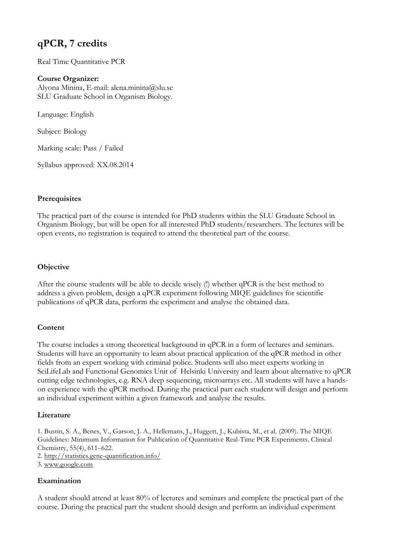# **qPCR, 7 credits**

Real Time Quantitative PCR

# **Course Organizer:**

Alyona Minina, E-mail: alena.minina@slu.se SLU Graduate School in Organism Biology.

Language: English

Subject: Biology

Marking scale: Pass / Failed

Syllabus approved: XX.08.2014

# **Prerequisites**

The practical part of the course is intended for PhD students within the SLU Graduate School in Organism Biology, but will be open for all interested PhD students/researchers. The lectures will be open events, no registration is required to attend the theoretical part of the course.

# **Objective**

After the course students will be able to decide wisely (!) whether qPCR is the best method to address a given problem, design a qPCR experiment following MIQE guidelines for scientific publications of qPCR data, perform the experiment and analyse the obtained data.

#### **Content**

The course includes a strong theoretical background in qPCR in a form of lectures and seminars. Students will have an opportunity to learn about practical application of the qPCR method in other fields from an expert working with criminal police. Students will also meet experts working in SciLifeLab and Functional Genomics Unit of Helsinki University and learn about alternative to qPCR cutting edge technologies, e.g. RNA deep sequencing, microarrays etc. All students will have a handson experience with the qPCR method. During the practical part each student will design and perform an individual experiment within a given framework and analyse the results.

#### **Literature**

1. Bustin, S. A., Benes, V., Garson, J. A., Hellemans, J., Huggett, J., Kubista, M., et al. (2009). The MIQE Guidelines: Minimum Information for Publication of Quantitative Real-Time PCR Experiments. Clinical Chemistry, 55(4), 611–622.

2. http://statistics.gene-quantification.info/

3. www.google.com

# **Examination**

A student should attend at least 80% of lectures and seminars and complete the practical part of the course. During the practical part the student should design and perform an individual experiment